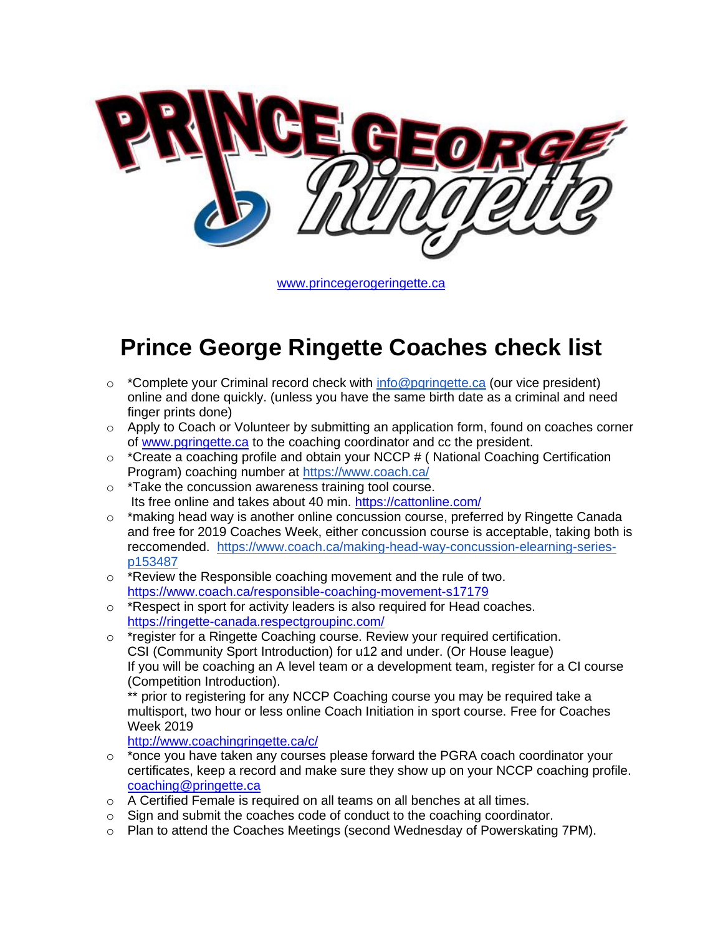

[www.princegerogeringette.ca](http://www.princegerogeringette.ca/)

## **Prince George Ringette Coaches check list**

- $\circ$  \*Complete your Criminal record check with [info@pgringette.ca](mailto:info@pgringette.ca) (our vice president) online and done quickly. (unless you have the same birth date as a criminal and need finger prints done)
- $\circ$  Apply to Coach or Volunteer by submitting an application form, found on coaches corner of [www.pgringette.ca](http://www.pgringette.ca/) to the coaching coordinator and cc the president.
- o \*Create a coaching profile and obtain your NCCP # ( National Coaching Certification Program) coaching number at <https://www.coach.ca/>
- o \*Take the concussion awareness training tool course. Its free online and takes about 40 min. <https://cattonline.com/>
- $\circ$  \*making head way is another online concussion course, preferred by Ringette Canada and free for 2019 Coaches Week, either concussion course is acceptable, taking both is reccomended. [https://www.coach.ca/making-head-way-concussion-elearning-series](https://www.coach.ca/making-head-way-concussion-elearning-series-p153487)[p153487](https://www.coach.ca/making-head-way-concussion-elearning-series-p153487)
- o \*Review the Responsible coaching movement and the rule of two. <https://www.coach.ca/responsible-coaching-movement-s17179>
- o \*Respect in sport for activity leaders is also required for Head coaches. <https://ringette-canada.respectgroupinc.com/>
- o \*register for a Ringette Coaching course. Review your required certification. CSI (Community Sport Introduction) for u12 and under. (Or House league) If you will be coaching an A level team or a development team, register for a CI course (Competition Introduction).

prior to registering for any NCCP Coaching course you may be required take a multisport, two hour or less online Coach Initiation in sport course. Free for Coaches Week 2019

<http://www.coachingringette.ca/c/>

- $\circ$  \*once you have taken any courses please forward the PGRA coach coordinator your certificates, keep a record and make sure they show up on your NCCP coaching profile. [coaching@pringette.ca](mailto:coaching@pringette.ca)
- $\circ$  A Certified Female is required on all teams on all benches at all times.
- $\circ$  Sign and submit the coaches code of conduct to the coaching coordinator.
- o Plan to attend the Coaches Meetings (second Wednesday of Powerskating 7PM).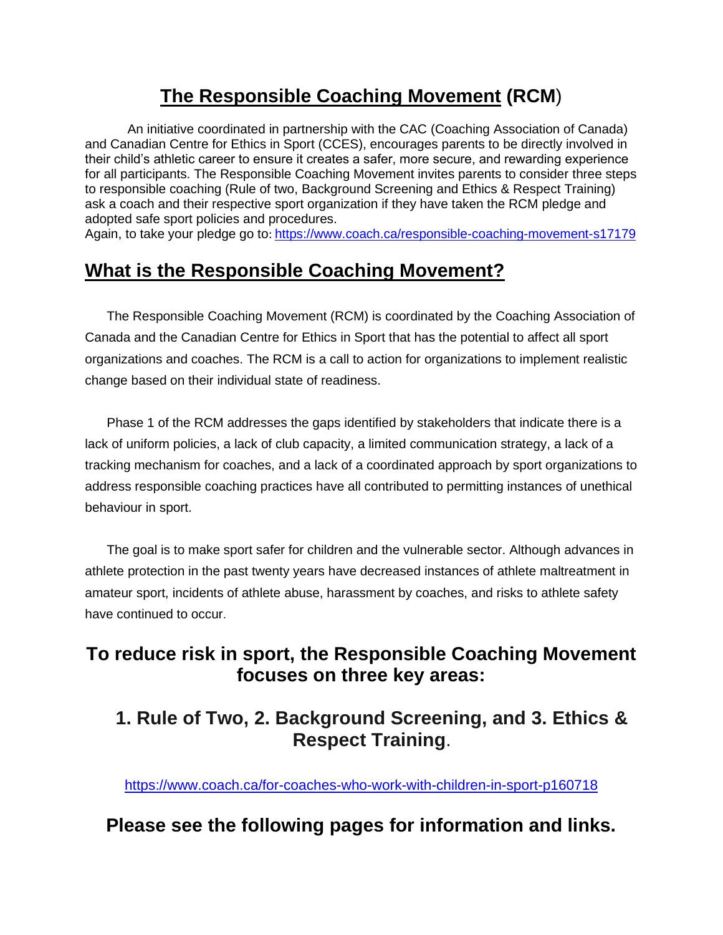## **[The Responsible Coaching Movement](https://www.coach.ca/responsiblecoaching) (RCM**)

An initiative coordinated in partnership with the CAC (Coaching Association of Canada) and Canadian Centre for Ethics in Sport (CCES), encourages parents to be directly involved in their child's athletic career to ensure it creates a safer, more secure, and rewarding experience for all participants. The Responsible Coaching Movement invites parents to consider [three steps](https://www.coach.ca/for-parents-with-children-in-sport-p160715)  [to responsible coaching](https://www.coach.ca/for-parents-with-children-in-sport-p160715) (Rule of two, Background Screening and Ethics & Respect Training) ask a coach and their respective sport organization if they have taken the RCM pledge and adopted safe sport policies and procedures.

Again, to take your pledge go to: <https://www.coach.ca/responsible-coaching-movement-s17179>

## **What is the Responsible Coaching Movement?**

 The Responsible Coaching Movement (RCM) is coordinated by the Coaching Association of Canada and the Canadian Centre for Ethics in Sport that has the potential to affect all sport organizations and coaches. The RCM is a call to action for organizations to implement realistic change based on their individual state of readiness.

 Phase 1 of the RCM addresses the gaps identified by stakeholders that indicate there is a lack of uniform policies, a lack of club capacity, a limited communication strategy, a lack of a tracking mechanism for coaches, and a lack of a coordinated approach by sport organizations to address responsible coaching practices have all contributed to permitting instances of unethical behaviour in sport.

 The goal is to make sport safer for children and the vulnerable sector. Although advances in athlete protection in the past twenty years have decreased instances of athlete maltreatment in amateur sport, incidents of athlete abuse, harassment by coaches, and risks to athlete safety have continued to occur.

## **To reduce risk in sport, the Responsible Coaching Movement focuses on three key areas:**

### **[1. Rule of Two, 2. Background Screening, and 3. Ethics &](http://www.coach.ca/3-steps-to-responsible-coaching-p161376)  [Respect Training](http://www.coach.ca/3-steps-to-responsible-coaching-p161376)**.

<https://www.coach.ca/for-coaches-who-work-with-children-in-sport-p160718>

## **Please see the following pages for information and links.**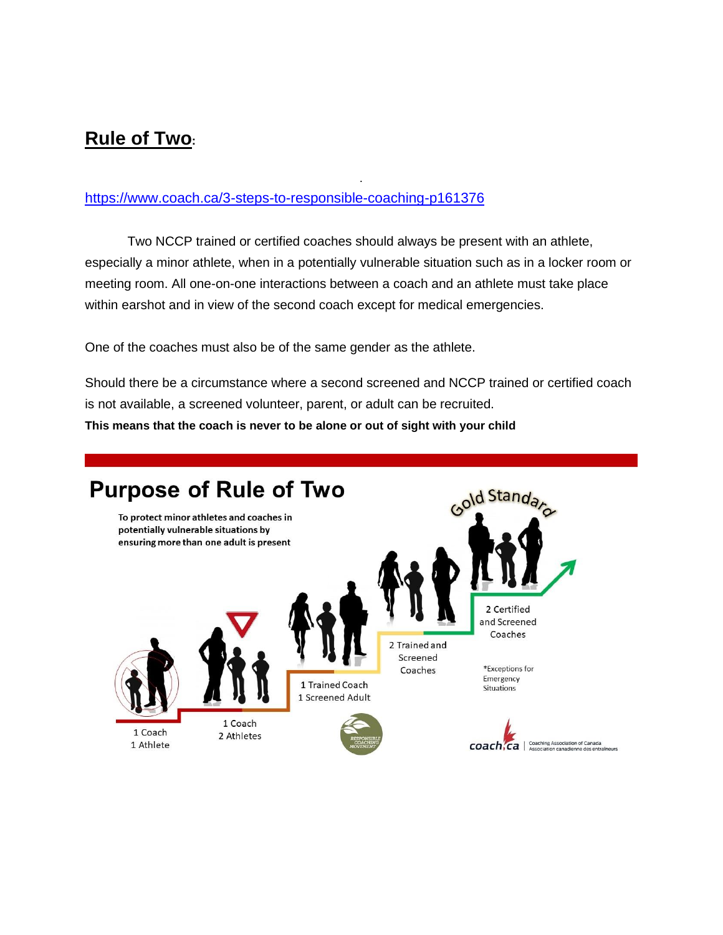## **Rule of Two:**

#### <https://www.coach.ca/3-steps-to-responsible-coaching-p161376>

Two NCCP trained or certified coaches should always be present with an athlete, especially a minor athlete, when in a potentially vulnerable situation such as in a locker room or meeting room. All one-on-one interactions between a coach and an athlete must take place within earshot and in view of the second coach except for medical emergencies.

.

One of the coaches must also be of the same gender as the athlete.

Should there be a circumstance where a second screened and NCCP trained or certified coach is not available, a screened volunteer, parent, or adult can be recruited.

**This means that the coach is never to be alone or out of sight with your child**

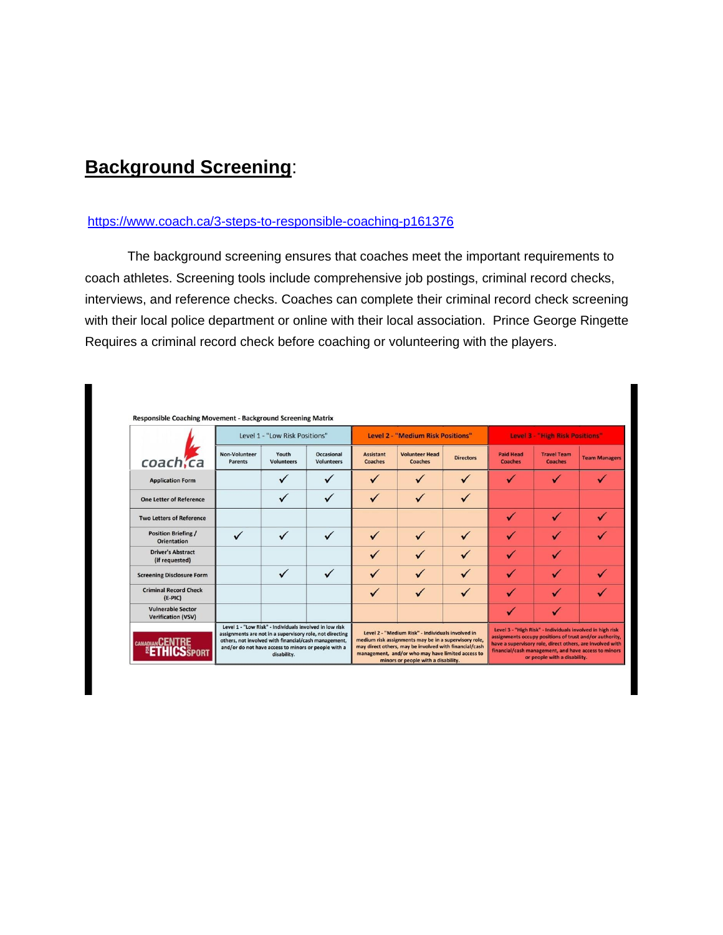## **Background Screening**:

#### <https://www.coach.ca/3-steps-to-responsible-coaching-p161376>

The background screening ensures that coaches meet the important requirements to coach athletes. Screening tools include comprehensive job postings, criminal record checks, interviews, and reference checks. Coaches can complete their criminal record check screening with their local police department or online with their local association. Prince George Ringette Requires a criminal record check before coaching or volunteering with the players.

|                                                       | Level 1 - "Low Risk Positions"                                                                                   |                                                                                                                                |                                 | Level 2 - "Medium Risk Positions"                                                                                                                                                                                                                                |                                  |                  | <b>Level 3 - "High Risk Positions"</b>                                                                                                                                                                                                                                    |                                      |                      |
|-------------------------------------------------------|------------------------------------------------------------------------------------------------------------------|--------------------------------------------------------------------------------------------------------------------------------|---------------------------------|------------------------------------------------------------------------------------------------------------------------------------------------------------------------------------------------------------------------------------------------------------------|----------------------------------|------------------|---------------------------------------------------------------------------------------------------------------------------------------------------------------------------------------------------------------------------------------------------------------------------|--------------------------------------|----------------------|
| coach, ca                                             | Non-Volunteer<br><b>Parents</b>                                                                                  | Youth<br><b>Volunteers</b>                                                                                                     | Occasional<br><b>Volunteers</b> | <b>Assistant</b><br>Coaches                                                                                                                                                                                                                                      | <b>Volunteer Head</b><br>Coaches | <b>Directors</b> | <b>Paid Head</b><br><b>Coaches</b>                                                                                                                                                                                                                                        | <b>Travel Team</b><br><b>Coaches</b> | <b>Team Managers</b> |
| <b>Application Form</b>                               |                                                                                                                  |                                                                                                                                |                                 |                                                                                                                                                                                                                                                                  |                                  |                  |                                                                                                                                                                                                                                                                           |                                      |                      |
| <b>One Letter of Reference</b>                        |                                                                                                                  |                                                                                                                                |                                 |                                                                                                                                                                                                                                                                  |                                  | ✓                |                                                                                                                                                                                                                                                                           |                                      |                      |
| <b>Two Letters of Reference</b>                       |                                                                                                                  |                                                                                                                                |                                 |                                                                                                                                                                                                                                                                  |                                  |                  |                                                                                                                                                                                                                                                                           |                                      |                      |
| <b>Position Briefing /</b><br><b>Orientation</b>      |                                                                                                                  |                                                                                                                                | $\sqrt{ }$                      |                                                                                                                                                                                                                                                                  | ✓                                | ✓                |                                                                                                                                                                                                                                                                           |                                      |                      |
| <b>Driver's Abstract</b><br>(if requested)            |                                                                                                                  |                                                                                                                                |                                 |                                                                                                                                                                                                                                                                  |                                  |                  |                                                                                                                                                                                                                                                                           |                                      |                      |
| <b>Screening Disclosure Form</b>                      |                                                                                                                  |                                                                                                                                |                                 |                                                                                                                                                                                                                                                                  | ✓                                |                  |                                                                                                                                                                                                                                                                           |                                      |                      |
| <b>Criminal Record Check</b><br>$(E-PIC)$             |                                                                                                                  |                                                                                                                                |                                 |                                                                                                                                                                                                                                                                  | ✓                                | ✓                |                                                                                                                                                                                                                                                                           |                                      | ✓                    |
| <b>Vulnerable Sector</b><br><b>Verification (VSV)</b> |                                                                                                                  |                                                                                                                                |                                 |                                                                                                                                                                                                                                                                  |                                  |                  |                                                                                                                                                                                                                                                                           |                                      |                      |
| <b>CANADIAN UL</b><br><b>HICSSPORT</b>                | assignments are not in a supervisory role, not directing<br>others, not involved with financial/cash management, | Level 1 - "Low Risk" - Individuals involved in low risk<br>and/or do not have access to minors or people with a<br>disability. |                                 | Level 2 - "Medium Risk" - Individuals involved in<br>medium risk assignments may be in a supervisory role,<br>may direct others, may be involved with financial/cash<br>management, and/or who may have limited access to<br>minors or people with a disability. |                                  |                  | Level 3 - "High Risk" - Individuals involved in high risk<br>assignments occupy positions of trust and/or authority,<br>have a supervisory role, direct others, are involved with<br>financial/cash management, and have access to minors<br>or people with a disability. |                                      |                      |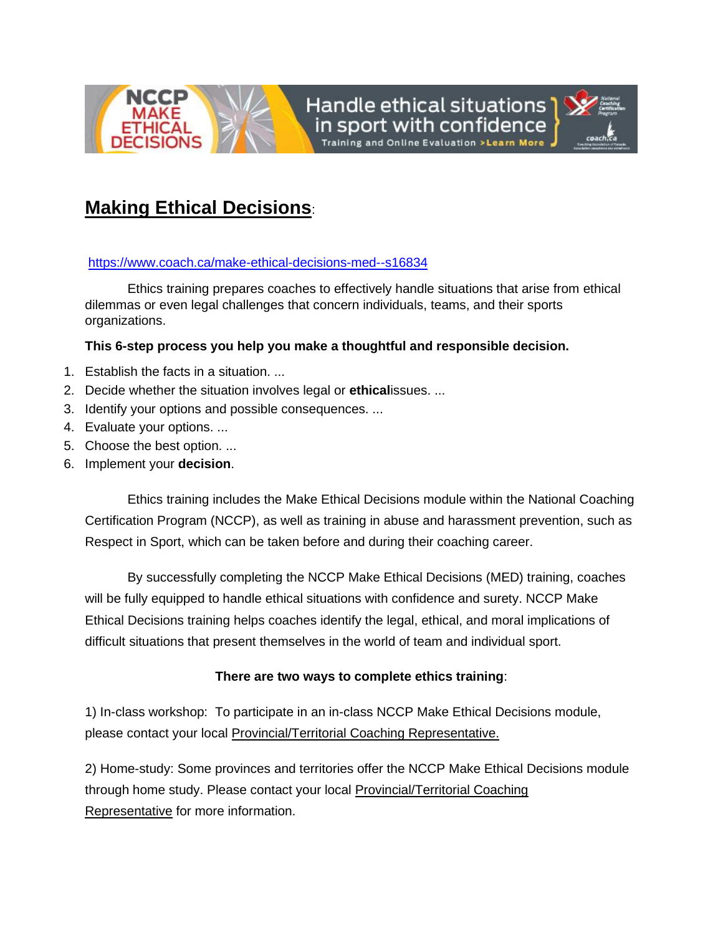

Handle ethical situations



## **Making Ethical Decisions**:

#### <https://www.coach.ca/make-ethical-decisions-med--s16834>

Ethics training prepares coaches to effectively handle situations that arise from ethical dilemmas or even legal challenges that concern individuals, teams, and their sports organizations.

#### **This 6-step process you help you make a thoughtful and responsible decision.**

- 1. Establish the facts in a situation. ...
- 2. Decide whether the situation involves legal or **ethical**issues. ...
- 3. Identify your options and possible consequences. ...
- 4. Evaluate your options. ...
- 5. Choose the best option. ...
- 6. Implement your **decision**.

Ethics training includes the Make Ethical Decisions module within the National Coaching Certification Program (NCCP), as well as training in abuse and harassment prevention, such as Respect in Sport, which can be taken before and during their coaching career.

By successfully completing the NCCP Make Ethical Decisions (MED) training, coaches will be fully equipped to handle ethical situations with confidence and surety. NCCP Make Ethical Decisions training helps coaches identify the legal, ethical, and moral implications of difficult situations that present themselves in the world of team and individual sport.

#### **There are two ways to complete ethics training**:

1) In-class workshop: To participate in an in-class NCCP Make Ethical Decisions module, please contact your local [Provincial/Territorial Coaching Representative.](https://www.coach.ca/-p140497)

2) Home-study: Some provinces and territories offer the NCCP Make Ethical Decisions module through home study. Please contact your local [Provincial/Territorial Coaching](https://www.coach.ca/-p140497)  [Representative](https://www.coach.ca/-p140497) for more information.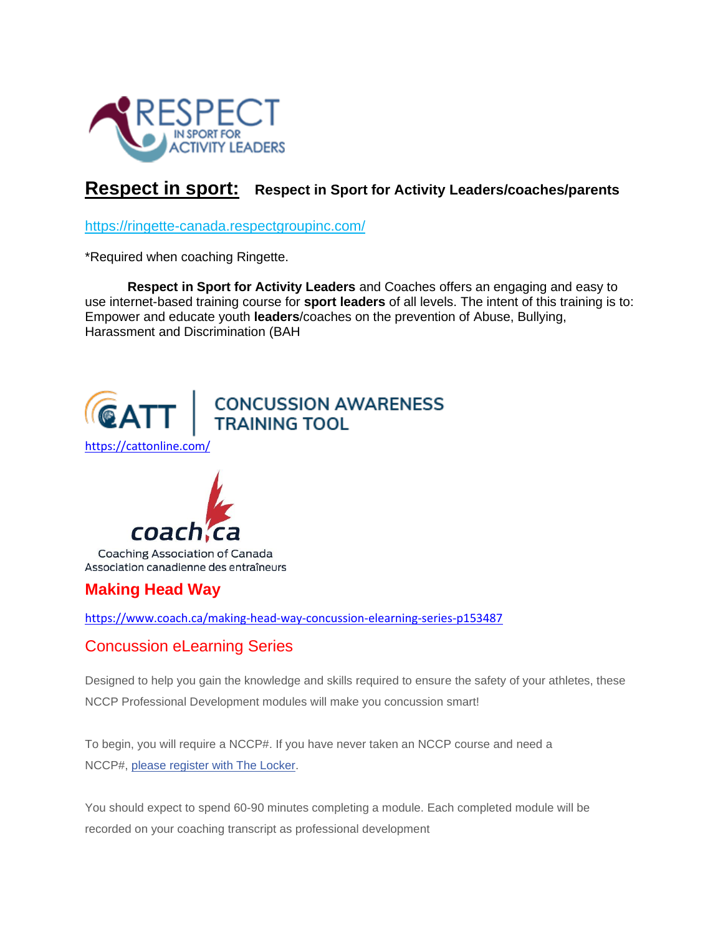

### **Respect in sport: Respect in Sport for Activity Leaders/coaches/parents**

<https://ringette-canada.respectgroupinc.com/>

\*Required when coaching Ringette.

**Respect in Sport for Activity Leaders** and Coaches offers an engaging and easy to use internet-based training course for **sport leaders** of all levels. The intent of this training is to: Empower and educate youth **leaders**/coaches on the prevention of Abuse, Bullying, Harassment and Discrimination (BAH



Association canadienne des entraîneurs

#### **Making Head Way**

<https://www.coach.ca/making-head-way-concussion-elearning-series-p153487>

#### Concussion eLearning Series

Designed to help you gain the knowledge and skills required to ensure the safety of your athletes, these NCCP Professional Development modules will make you concussion smart!

To begin, you will require a NCCP#. If you have never taken an NCCP course and need a NCCP#, [please register with The Locker.](https://thelocker.coach.ca/onlinelearning#MHW)

You should expect to spend 60-90 minutes completing a module. Each completed module will be recorded on your coaching transcript as professional development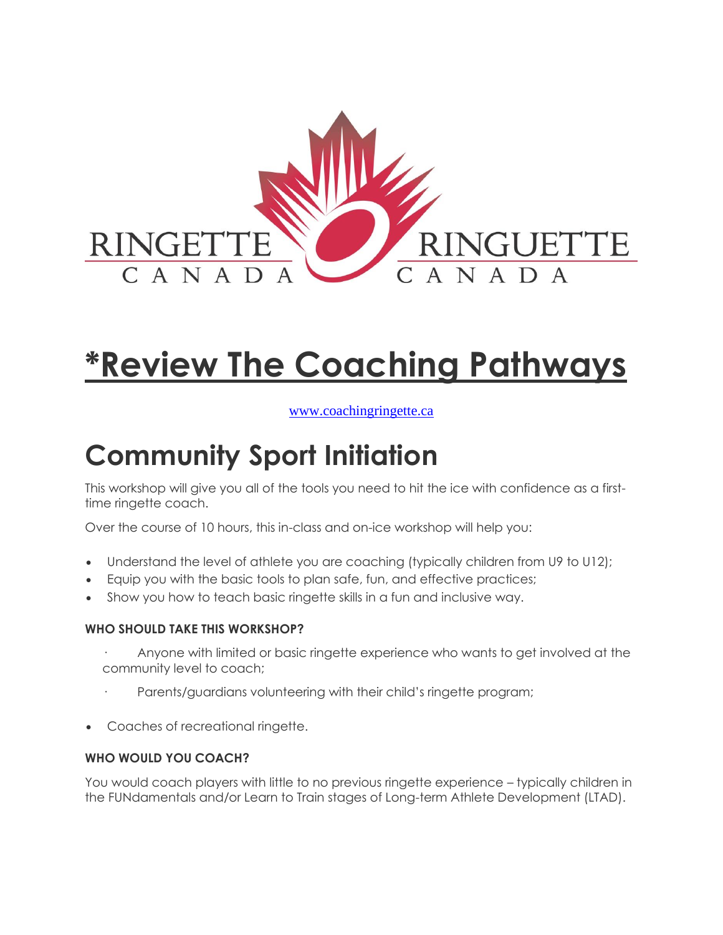

# **\*Review The Coaching Pathways**

#### [www.coachingringette.ca](http://www.coachingringette.ca/)

## **Community Sport Initiation**

This workshop will give you all of the tools you need to hit the ice with confidence as a firsttime ringette coach.

Over the course of 10 hours, this in-class and on-ice workshop will help you:

- Understand the level of athlete you are coaching (typically children from U9 to U12);
- Equip you with the basic tools to plan safe, fun, and effective practices;
- Show you how to teach basic ringette skills in a fun and inclusive way.

#### **WHO SHOULD TAKE THIS WORKSHOP?**

- Anyone with limited or basic ringette experience who wants to get involved at the community level to coach;
- Parents/guardians volunteering with their child's ringette program;
- Coaches of recreational ringette.

#### **WHO WOULD YOU COACH?**

You would coach players with little to no previous ringette experience – typically children in the FUNdamentals and/or Learn to Train stages of Long-term Athlete Development (LTAD).